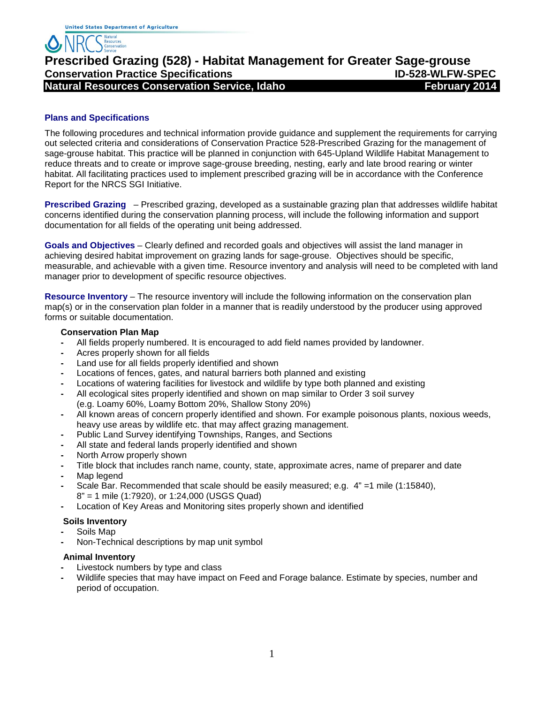# **Prescribed Grazing (528) - Habitat Management for Greater Sage-grouse Conservation Service, Idaho Integration Service Natural Resources Conservation Service, Idaho February 2014**

#### **Plans and Specifications**

The following procedures and technical information provide guidance and supplement the requirements for carrying out selected criteria and considerations of Conservation Practice 528-Prescribed Grazing for the management of sage-grouse habitat. This practice will be planned in conjunction with 645-Upland Wildlife Habitat Management to reduce threats and to create or improve sage-grouse breeding, nesting, early and late brood rearing or winter habitat. All facilitating practices used to implement prescribed grazing will be in accordance with the Conference Report for the NRCS SGI Initiative.

**Prescribed Grazing** – Prescribed grazing, developed as a sustainable grazing plan that addresses wildlife habitat concerns identified during the conservation planning process, will include the following information and support documentation for all fields of the operating unit being addressed.

**Goals and Objectives** – Clearly defined and recorded goals and objectives will assist the land manager in achieving desired habitat improvement on grazing lands for sage-grouse. Objectives should be specific, measurable, and achievable with a given time. Resource inventory and analysis will need to be completed with land manager prior to development of specific resource objectives.

**Resource Inventory** – The resource inventory will include the following information on the conservation plan map(s) or in the conservation plan folder in a manner that is readily understood by the producer using approved forms or suitable documentation.

#### **Conservation Plan Map**

- **-** All fields properly numbered. It is encouraged to add field names provided by landowner.
- **-** Acres properly shown for all fields
- **-** Land use for all fields properly identified and shown
- **-** Locations of fences, gates, and natural barriers both planned and existing
- **-** Locations of watering facilities for livestock and wildlife by type both planned and existing
- **-** All ecological sites properly identified and shown on map similar to Order 3 soil survey (e.g. Loamy 60%, Loamy Bottom 20%, Shallow Stony 20%)
- **-** All known areas of concern properly identified and shown. For example poisonous plants, noxious weeds, heavy use areas by wildlife etc. that may affect grazing management.
- **-** Public Land Survey identifying Townships, Ranges, and Sections
- **-** All state and federal lands properly identified and shown
- **-** North Arrow properly shown
- **-** Title block that includes ranch name, county, state, approximate acres, name of preparer and date
- **-** Map legend
- **-** Scale Bar. Recommended that scale should be easily measured; e.g. 4" =1 mile (1:15840), 8" = 1 mile (1:7920), or 1:24,000 (USGS Quad)
- **-** Location of Key Areas and Monitoring sites properly shown and identified

#### **Soils Inventory**

- **-** Soils Map
- **-** Non-Technical descriptions by map unit symbol

#### **Animal Inventory**

- **-** Livestock numbers by type and class
- **-** Wildlife species that may have impact on Feed and Forage balance. Estimate by species, number and period of occupation.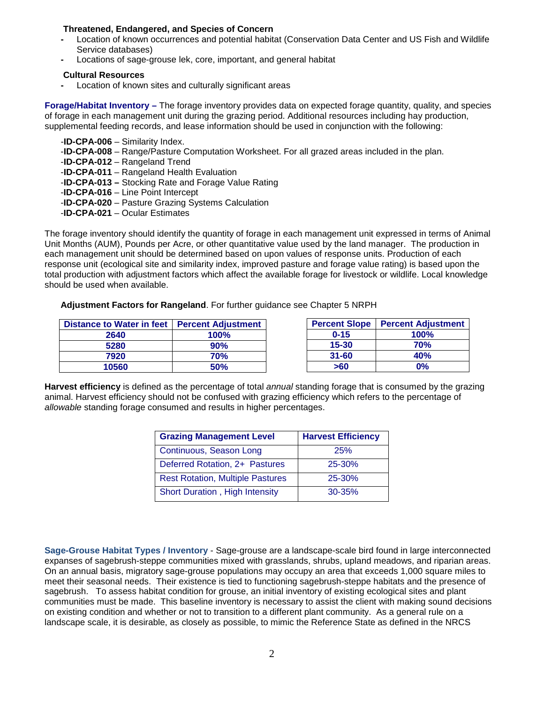#### **Threatened, Endangered, and Species of Concern**

- **-** Location of known occurrences and potential habitat (Conservation Data Center and US Fish and Wildlife Service databases)
- **-** Locations of sage-grouse lek, core, important, and general habitat

#### **Cultural Resources**

**-** Location of known sites and culturally significant areas

**Forage/Habitat Inventory –** The forage inventory provides data on expected forage quantity, quality, and species of forage in each management unit during the grazing period. Additional resources including hay production, supplemental feeding records, and lease information should be used in conjunction with the following:

- -**ID-CPA-006** Similarity Index.
- -**ID-CPA-008** Range/Pasture Computation Worksheet. For all grazed areas included in the plan.
- -**ID-CPA-012** Rangeland Trend
- -**ID-CPA-011** Rangeland Health Evaluation
- -**ID-CPA-013 –** Stocking Rate and Forage Value Rating
- -**ID-CPA-016** Line Point Intercept
- -**ID-CPA-020** Pasture Grazing Systems Calculation
- -**ID-CPA-021**  Ocular Estimates

The forage inventory should identify the quantity of forage in each management unit expressed in terms of Animal Unit Months (AUM), Pounds per Acre, or other quantitative value used by the land manager. The production in each management unit should be determined based on upon values of response units. Production of each response unit (ecological site and similarity index, improved pasture and forage value rating) is based upon the total production with adjustment factors which affect the available forage for livestock or wildlife. Local knowledge should be used when available.

#### **Adjustment Factors for Rangeland**. For further guidance see Chapter 5 NRPH

| Distance to Water in feet   Percent Adjustment |      | <b>Percent Slope</b> | <b>Percent Adjustment</b> |
|------------------------------------------------|------|----------------------|---------------------------|
| 2640                                           | 100% | $0 - 15$             | 100%                      |
| 5280                                           | 90%  | $15 - 30$            | <b>70%</b>                |
| 7920                                           | 70%  | $31 - 60$            | 40%                       |
| 10560                                          | 50%  | >60                  | 0%                        |

**Harvest efficiency** is defined as the percentage of total *annual* standing forage that is consumed by the grazing animal. Harvest efficiency should not be confused with grazing efficiency which refers to the percentage of *allowable* standing forage consumed and results in higher percentages.

| <b>Grazing Management Level</b>         | <b>Harvest Efficiency</b> |  |
|-----------------------------------------|---------------------------|--|
| Continuous, Season Long                 | 25%                       |  |
| Deferred Rotation, 2+ Pastures          | 25-30%                    |  |
| <b>Rest Rotation, Multiple Pastures</b> | 25-30%                    |  |
| Short Duration, High Intensity          | $30 - 35%$                |  |

**Sage-Grouse Habitat Types / Inventory** - Sage-grouse are a landscape-scale bird found in large interconnected expanses of sagebrush-steppe communities mixed with grasslands, shrubs, upland meadows, and riparian areas. On an annual basis, migratory sage-grouse populations may occupy an area that exceeds 1,000 square miles to meet their seasonal needs. Their existence is tied to functioning sagebrush-steppe habitats and the presence of sagebrush. To assess habitat condition for grouse, an initial inventory of existing ecological sites and plant communities must be made. This baseline inventory is necessary to assist the client with making sound decisions on existing condition and whether or not to transition to a different plant community. As a general rule on a landscape scale, it is desirable, as closely as possible, to mimic the Reference State as defined in the NRCS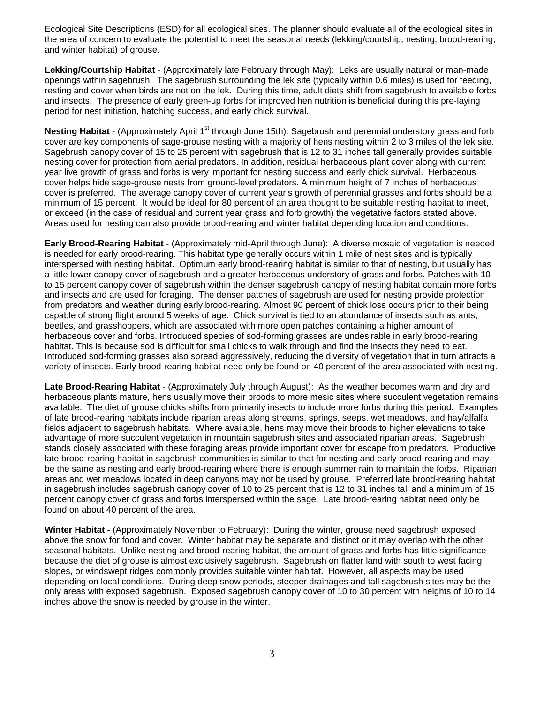Ecological Site Descriptions (ESD) for all ecological sites. The planner should evaluate all of the ecological sites in the area of concern to evaluate the potential to meet the seasonal needs (lekking/courtship, nesting, brood-rearing, and winter habitat) of grouse.

**Lekking/Courtship Habitat** - (Approximately late February through May): Leks are usually natural or man-made openings within sagebrush. The sagebrush surrounding the lek site (typically within 0.6 miles) is used for feeding, resting and cover when birds are not on the lek. During this time, adult diets shift from sagebrush to available forbs and insects. The presence of early green-up forbs for improved hen nutrition is beneficial during this pre-laying period for nest initiation, hatching success, and early chick survival.

**Nesting Habitat** - (Approximately April 1<sup>st</sup> through June 15th): Sagebrush and perennial understory grass and forb cover are key components of sage-grouse nesting with a majority of hens nesting within 2 to 3 miles of the lek site. Sagebrush canopy cover of 15 to 25 percent with sagebrush that is 12 to 31 inches tall generally provides suitable nesting cover for protection from aerial predators. In addition, residual herbaceous plant cover along with current year live growth of grass and forbs is very important for nesting success and early chick survival. Herbaceous cover helps hide sage-grouse nests from ground-level predators. A minimum height of 7 inches of herbaceous cover is preferred. The average canopy cover of current year's growth of perennial grasses and forbs should be a minimum of 15 percent. It would be ideal for 80 percent of an area thought to be suitable nesting habitat to meet, or exceed (in the case of residual and current year grass and forb growth) the vegetative factors stated above. Areas used for nesting can also provide brood-rearing and winter habitat depending location and conditions.

**Early Brood-Rearing Habitat** - (Approximately mid-April through June): A diverse mosaic of vegetation is needed is needed for early brood-rearing. This habitat type generally occurs within 1 mile of nest sites and is typically interspersed with nesting habitat. Optimum early brood-rearing habitat is similar to that of nesting, but usually has a little lower canopy cover of sagebrush and a greater herbaceous understory of grass and forbs. Patches with 10 to 15 percent canopy cover of sagebrush within the denser sagebrush canopy of nesting habitat contain more forbs and insects and are used for foraging. The denser patches of sagebrush are used for nesting provide protection from predators and weather during early brood-rearing. Almost 90 percent of chick loss occurs prior to their being capable of strong flight around 5 weeks of age. Chick survival is tied to an abundance of insects such as ants, beetles, and grasshoppers, which are associated with more open patches containing a higher amount of herbaceous cover and forbs. Introduced species of sod-forming grasses are undesirable in early brood-rearing habitat. This is because sod is difficult for small chicks to walk through and find the insects they need to eat. Introduced sod-forming grasses also spread aggressively, reducing the diversity of vegetation that in turn attracts a variety of insects. Early brood-rearing habitat need only be found on 40 percent of the area associated with nesting.

**Late Brood-Rearing Habitat** - (Approximately July through August): As the weather becomes warm and dry and herbaceous plants mature, hens usually move their broods to more mesic sites where succulent vegetation remains available. The diet of grouse chicks shifts from primarily insects to include more forbs during this period. Examples of late brood-rearing habitats include riparian areas along streams, springs, seeps, wet meadows, and hay/alfalfa fields adjacent to sagebrush habitats. Where available, hens may move their broods to higher elevations to take advantage of more succulent vegetation in mountain sagebrush sites and associated riparian areas. Sagebrush stands closely associated with these foraging areas provide important cover for escape from predators. Productive late brood-rearing habitat in sagebrush communities is similar to that for nesting and early brood-rearing and may be the same as nesting and early brood-rearing where there is enough summer rain to maintain the forbs. Riparian areas and wet meadows located in deep canyons may not be used by grouse. Preferred late brood-rearing habitat in sagebrush includes sagebrush canopy cover of 10 to 25 percent that is 12 to 31 inches tall and a minimum of 15 percent canopy cover of grass and forbs interspersed within the sage. Late brood-rearing habitat need only be found on about 40 percent of the area.

**Winter Habitat -** (Approximately November to February): During the winter, grouse need sagebrush exposed above the snow for food and cover. Winter habitat may be separate and distinct or it may overlap with the other seasonal habitats. Unlike nesting and brood-rearing habitat, the amount of grass and forbs has little significance because the diet of grouse is almost exclusively sagebrush. Sagebrush on flatter land with south to west facing slopes, or windswept ridges commonly provides suitable winter habitat. However, all aspects may be used depending on local conditions. During deep snow periods, steeper drainages and tall sagebrush sites may be the only areas with exposed sagebrush. Exposed sagebrush canopy cover of 10 to 30 percent with heights of 10 to 14 inches above the snow is needed by grouse in the winter.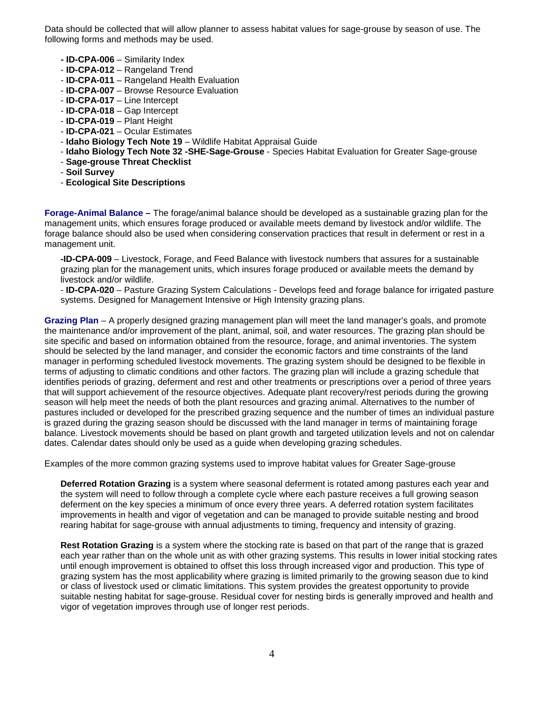Data should be collected that will allow planner to assess habitat values for sage-grouse by season of use. The following forms and methods may be used.

- **- ID-CPA-006** Similarity Index
- **ID-CPA-012** Rangeland Trend
- **ID-CPA-011** Rangeland Health Evaluation
- **ID-CPA-007** Browse Resource Evaluation
- **ID-CPA-017** Line Intercept
- **ID-CPA-018** Gap Intercept
- **ID-CPA-019** Plant Height
- **ID-CPA-021**  Ocular Estimates
- **Idaho Biology Tech Note 19** Wildlife Habitat Appraisal Guide
- **Idaho Biology Tech Note 32 -SHE-Sage-Grouse** Species Habitat Evaluation for Greater Sage-grouse
- **Sage-grouse Threat Checklist**
- **Soil Survey**
- **Ecological Site Descriptions**

**Forage-Animal Balance –** The forage/animal balance should be developed as a sustainable grazing plan for the management units, which ensures forage produced or available meets demand by livestock and/or wildlife. The forage balance should also be used when considering conservation practices that result in deferment or rest in a management unit.

**-ID-CPA-009** – Livestock, Forage, and Feed Balance with livestock numbers that assures for a sustainable grazing plan for the management units, which insures forage produced or available meets the demand by livestock and/or wildlife.

- **ID-CPA-020** – Pasture Grazing System Calculations - Develops feed and forage balance for irrigated pasture systems. Designed for Management Intensive or High Intensity grazing plans.

**Grazing Plan** – A properly designed grazing management plan will meet the land manager's goals, and promote the maintenance and/or improvement of the plant, animal, soil, and water resources. The grazing plan should be site specific and based on information obtained from the resource, forage, and animal inventories. The system should be selected by the land manager, and consider the economic factors and time constraints of the land manager in performing scheduled livestock movements. The grazing system should be designed to be flexible in terms of adjusting to climatic conditions and other factors. The grazing plan will include a grazing schedule that identifies periods of grazing, deferment and rest and other treatments or prescriptions over a period of three years that will support achievement of the resource objectives. Adequate plant recovery/rest periods during the growing season will help meet the needs of both the plant resources and grazing animal. Alternatives to the number of pastures included or developed for the prescribed grazing sequence and the number of times an individual pasture is grazed during the grazing season should be discussed with the land manager in terms of maintaining forage balance. Livestock movements should be based on plant growth and targeted utilization levels and not on calendar dates. Calendar dates should only be used as a guide when developing grazing schedules.

Examples of the more common grazing systems used to improve habitat values for Greater Sage-grouse

**Deferred Rotation Grazing** is a system where seasonal deferment is rotated among pastures each year and the system will need to follow through a complete cycle where each pasture receives a full growing season deferment on the key species a minimum of once every three years. A deferred rotation system facilitates improvements in health and vigor of vegetation and can be managed to provide suitable nesting and brood rearing habitat for sage-grouse with annual adjustments to timing, frequency and intensity of grazing.

**Rest Rotation Grazing** is a system where the stocking rate is based on that part of the range that is grazed each year rather than on the whole unit as with other grazing systems. This results in lower initial stocking rates until enough improvement is obtained to offset this loss through increased vigor and production. This type of grazing system has the most applicability where grazing is limited primarily to the growing season due to kind or class of livestock used or climatic limitations. This system provides the greatest opportunity to provide suitable nesting habitat for sage-grouse. Residual cover for nesting birds is generally improved and health and vigor of vegetation improves through use of longer rest periods.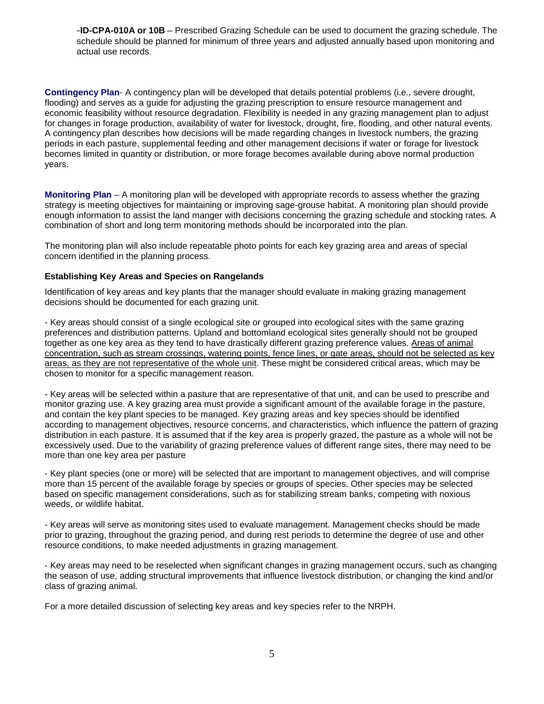-**ID-CPA-010A or 10B** – Prescribed Grazing Schedule can be used to document the grazing schedule. The schedule should be planned for minimum of three years and adjusted annually based upon monitoring and actual use records.

**Contingency Plan**- A contingency plan will be developed that details potential problems (i.e., severe drought, flooding) and serves as a guide for adjusting the grazing prescription to ensure resource management and economic feasibility without resource degradation. Flexibility is needed in any grazing management plan to adjust for changes in forage production, availability of water for livestock, drought, fire, flooding, and other natural events. A contingency plan describes how decisions will be made regarding changes in livestock numbers, the grazing periods in each pasture, supplemental feeding and other management decisions if water or forage for livestock becomes limited in quantity or distribution, or more forage becomes available during above normal production years.

**Monitoring Plan** – A monitoring plan will be developed with appropriate records to assess whether the grazing strategy is meeting objectives for maintaining or improving sage-grouse habitat. A monitoring plan should provide enough information to assist the land manger with decisions concerning the grazing schedule and stocking rates. A combination of short and long term monitoring methods should be incorporated into the plan.

The monitoring plan will also include repeatable photo points for each key grazing area and areas of special concern identified in the planning process.

#### **Establishing Key Areas and Species on Rangelands**

Identification of key areas and key plants that the manager should evaluate in making grazing management decisions should be documented for each grazing unit.

- Key areas should consist of a single ecological site or grouped into ecological sites with the same grazing preferences and distribution patterns. Upland and bottomland ecological sites generally should not be grouped together as one key area as they tend to have drastically different grazing preference values. Areas of animal concentration, such as stream crossings, watering points, fence lines, or gate areas, should not be selected as key areas, as they are not representative of the whole unit. These might be considered critical areas, which may be chosen to monitor for a specific management reason.

- Key areas will be selected within a pasture that are representative of that unit, and can be used to prescribe and monitor grazing use. A key grazing area must provide a significant amount of the available forage in the pasture, and contain the key plant species to be managed. Key grazing areas and key species should be identified according to management objectives, resource concerns, and characteristics, which influence the pattern of grazing distribution in each pasture. It is assumed that if the key area is properly grazed, the pasture as a whole will not be excessively used. Due to the variability of grazing preference values of different range sites, there may need to be more than one key area per pasture

- Key plant species (one or more) will be selected that are important to management objectives, and will comprise more than 15 percent of the available forage by species or groups of species. Other species may be selected based on specific management considerations, such as for stabilizing stream banks, competing with noxious weeds, or wildlife habitat.

- Key areas will serve as monitoring sites used to evaluate management. Management checks should be made prior to grazing, throughout the grazing period, and during rest periods to determine the degree of use and other resource conditions, to make needed adjustments in grazing management.

- Key areas may need to be reselected when significant changes in grazing management occurs, such as changing the season of use, adding structural improvements that influence livestock distribution, or changing the kind and/or class of grazing animal.

For a more detailed discussion of selecting key areas and key species refer to the NRPH.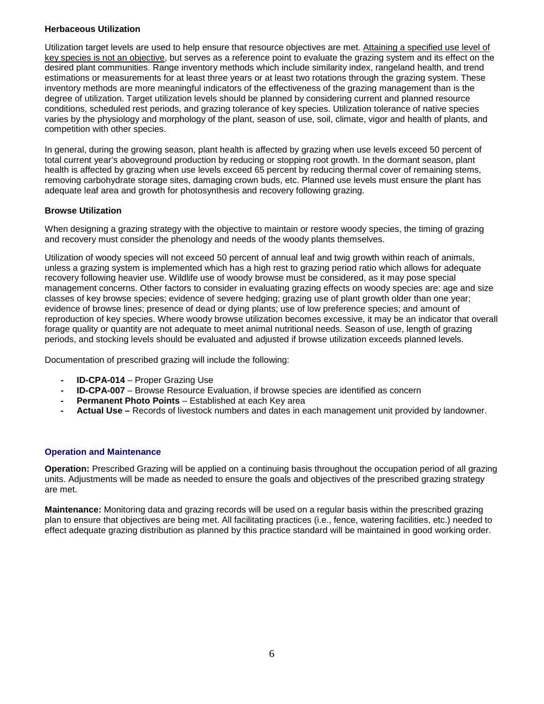#### **Herbaceous Utilization**

Utilization target levels are used to help ensure that resource objectives are met. Attaining a specified use level of key species is not an objective, but serves as a reference point to evaluate the grazing system and its effect on the desired plant communities. Range inventory methods which include similarity index, rangeland health, and trend estimations or measurements for at least three years or at least two rotations through the grazing system. These inventory methods are more meaningful indicators of the effectiveness of the grazing management than is the degree of utilization. Target utilization levels should be planned by considering current and planned resource conditions, scheduled rest periods, and grazing tolerance of key species. Utilization tolerance of native species varies by the physiology and morphology of the plant, season of use, soil, climate, vigor and health of plants, and competition with other species.

In general, during the growing season, plant health is affected by grazing when use levels exceed 50 percent of total current year's aboveground production by reducing or stopping root growth. In the dormant season, plant health is affected by grazing when use levels exceed 65 percent by reducing thermal cover of remaining stems, removing carbohydrate storage sites, damaging crown buds, etc. Planned use levels must ensure the plant has adequate leaf area and growth for photosynthesis and recovery following grazing.

### **Browse Utilization**

When designing a grazing strategy with the objective to maintain or restore woody species, the timing of grazing and recovery must consider the phenology and needs of the woody plants themselves.

Utilization of woody species will not exceed 50 percent of annual leaf and twig growth within reach of animals, unless a grazing system is implemented which has a high rest to grazing period ratio which allows for adequate recovery following heavier use. Wildlife use of woody browse must be considered, as it may pose special management concerns. Other factors to consider in evaluating grazing effects on woody species are: age and size classes of key browse species; evidence of severe hedging; grazing use of plant growth older than one year; evidence of browse lines; presence of dead or dying plants; use of low preference species; and amount of reproduction of key species. Where woody browse utilization becomes excessive, it may be an indicator that overall forage quality or quantity are not adequate to meet animal nutritional needs. Season of use, length of grazing periods, and stocking levels should be evaluated and adjusted if browse utilization exceeds planned levels.

Documentation of prescribed grazing will include the following:

- **- ID-CPA-014** Proper Grazing Use
- **- ID-CPA-007**  Browse Resource Evaluation, if browse species are identified as concern
- **- Permanent Photo Points**  Established at each Key area
- **- Actual Use –** Records of livestock numbers and dates in each management unit provided by landowner.

#### **Operation and Maintenance**

**Operation:** Prescribed Grazing will be applied on a continuing basis throughout the occupation period of all grazing units. Adjustments will be made as needed to ensure the goals and objectives of the prescribed grazing strategy are met.

**Maintenance:** Monitoring data and grazing records will be used on a regular basis within the prescribed grazing plan to ensure that objectives are being met. All facilitating practices (i.e., fence, watering facilities, etc.) needed to effect adequate grazing distribution as planned by this practice standard will be maintained in good working order.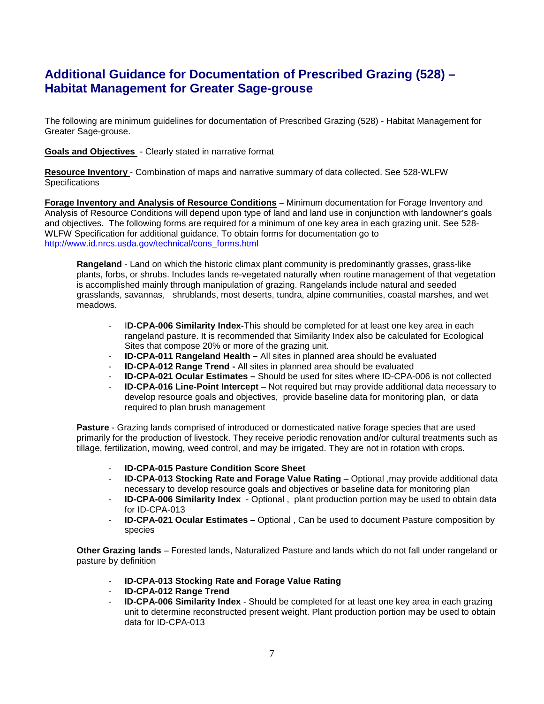## **Additional Guidance for Documentation of Prescribed Grazing (528) – Habitat Management for Greater Sage-grouse**

The following are minimum guidelines for documentation of Prescribed Grazing (528) - Habitat Management for Greater Sage-grouse.

**Goals and Objectives** - Clearly stated in narrative format

**Resource Inventory** - Combination of maps and narrative summary of data collected. See 528-WLFW **Specifications** 

**Forage Inventory and Analysis of Resource Conditions –** Minimum documentation for Forage Inventory and Analysis of Resource Conditions will depend upon type of land and land use in conjunction with landowner's goals and objectives. The following forms are required for a minimum of one key area in each grazing unit. See 528- WLFW Specification for additional guidance. To obtain forms for documentation go to [http://www.id.nrcs.usda.gov/technical/cons\\_forms.html](http://www.id.nrcs.usda.gov/technical/cons_forms.html) 

**Rangeland** - Land on which the historic climax plant community is predominantly grasses, grass-like plants, forbs, or shrubs. Includes lands re-vegetated naturally when routine management of that vegetation is accomplished mainly through manipulation of grazing. Rangelands include natural and seeded grasslands, savannas, shrublands, most deserts, tundra, alpine communities, coastal marshes, and wet meadows.

- I**D-CPA-006 Similarity Index-**This should be completed for at least one key area in each rangeland pasture. It is recommended that Similarity Index also be calculated for Ecological Sites that compose 20% or more of the grazing unit.
- **ID-CPA-011 Rangeland Health –** All sites in planned area should be evaluated
- **ID-CPA-012 Range Trend -** All sites in planned area should be evaluated
- **ID-CPA-021 Ocular Estimates –** Should be used for sites where ID-CPA-006 is not collected
- **ID-CPA-016 Line-Point Intercept** Not required but may provide additional data necessary to develop resource goals and objectives, provide baseline data for monitoring plan, or data required to plan brush management

**Pasture** - Grazing lands comprised of introduced or domesticated native forage species that are used primarily for the production of livestock. They receive periodic renovation and/or cultural treatments such as tillage, fertilization, mowing, weed control, and may be irrigated. They are not in rotation with crops.

- **ID-CPA-015 Pasture Condition Score Sheet**
- **ID-CPA-013 Stocking Rate and Forage Value Rating** Optional ,may provide additional data necessary to develop resource goals and objectives or baseline data for monitoring plan
- **ID-CPA-006 Similarity Index** Optional , plant production portion may be used to obtain data for ID-CPA-013
- **ID-CPA-021 Ocular Estimates –** Optional , Can be used to document Pasture composition by species

**Other Grazing lands** – Forested lands, Naturalized Pasture and lands which do not fall under rangeland or pasture by definition

- **ID-CPA-013 Stocking Rate and Forage Value Rating**
- **ID-CPA-012 Range Trend**
- **ID-CPA-006 Similarity Index** Should be completed for at least one key area in each grazing unit to determine reconstructed present weight. Plant production portion may be used to obtain data for ID-CPA-013